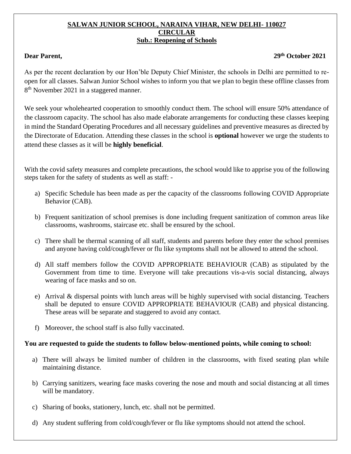## **SALWAN JUNIOR SCHOOL, NARAINA VIHAR, NEW DELHI- 110027 CIRCULAR Sub.: Reopening of Schools**

## **Dear Parent, 29th October 2021**

As per the recent declaration by our Hon'ble Deputy Chief Minister, the schools in Delhi are permitted to reopen for all classes. Salwan Junior School wishes to inform you that we plan to begin these offline classes from 8<sup>th</sup> November 2021 in a staggered manner.

We seek your wholehearted cooperation to smoothly conduct them. The school will ensure 50% attendance of the classroom capacity. The school has also made elaborate arrangements for conducting these classes keeping in mind the Standard Operating Procedures and all necessary guidelines and preventive measures as directed by the Directorate of Education. Attending these classes in the school is **optional** however we urge the students to attend these classes as it will be **highly beneficial**.

With the covid safety measures and complete precautions, the school would like to apprise you of the following steps taken for the safety of students as well as staff: -

- a) Specific Schedule has been made as per the capacity of the classrooms following COVID Appropriate Behavior (CAB).
- b) Frequent sanitization of school premises is done including frequent sanitization of common areas like classrooms, washrooms, staircase etc. shall be ensured by the school.
- c) There shall be thermal scanning of all staff, students and parents before they enter the school premises and anyone having cold/cough/fever or flu like symptoms shall not be allowed to attend the school.
- d) All staff members follow the COVID APPROPRIATE BEHAVIOUR (CAB) as stipulated by the Government from time to time. Everyone will take precautions vis-a-vis social distancing, always wearing of face masks and so on.
- e) Arrival & dispersal points with lunch areas will be highly supervised with social distancing. Teachers shall be deputed to ensure COVID APPROPRIATE BEHAVIOUR (CAB) and physical distancing. These areas will be separate and staggered to avoid any contact.
- f) Moreover, the school staff is also fully vaccinated.

## **You are requested to guide the students to follow below-mentioned points, while coming to school:**

- a) There will always be limited number of children in the classrooms, with fixed seating plan while maintaining distance.
- b) Carrying sanitizers, wearing face masks covering the nose and mouth and social distancing at all times will be mandatory.
- c) Sharing of books, stationery, lunch, etc. shall not be permitted.
- d) Any student suffering from cold/cough/fever or flu like symptoms should not attend the school.